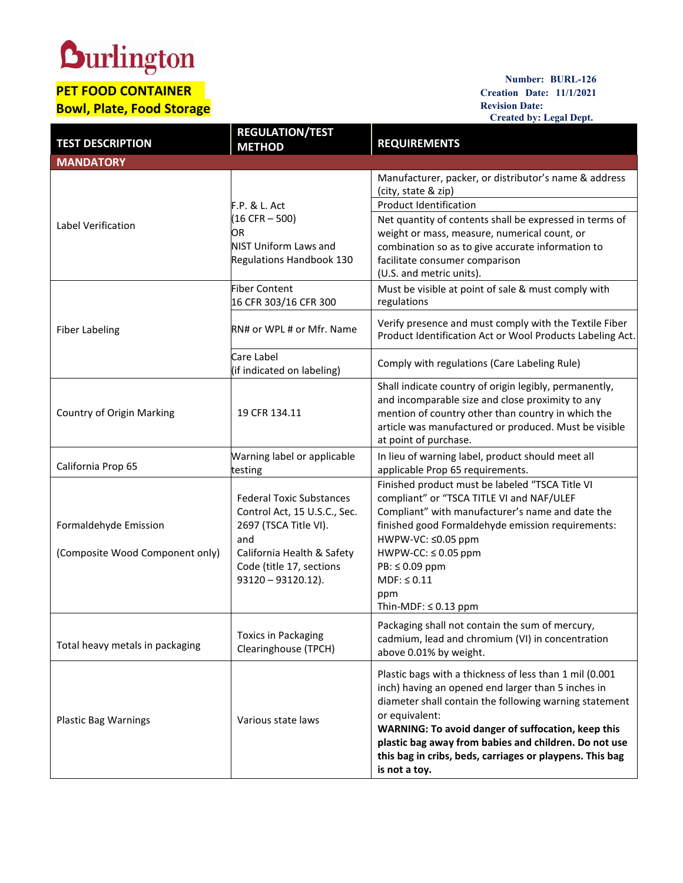## **Durlington**

## **PET FOOD CONTAINER Bowl, Plate, Food Storage**

**Number: BURL-126 Creation Date: 11/1/2021 Revision Date: Created by: Legal Dept.**

| <b>TEST DESCRIPTION</b>                                  | <b>REGULATION/TEST</b><br><b>METHOD</b>                                                                                                                                            | <b>REQUIREMENTS</b>                                                                                                                                                                                                                                                                                                                                                                   |
|----------------------------------------------------------|------------------------------------------------------------------------------------------------------------------------------------------------------------------------------------|---------------------------------------------------------------------------------------------------------------------------------------------------------------------------------------------------------------------------------------------------------------------------------------------------------------------------------------------------------------------------------------|
| <b>MANDATORY</b>                                         |                                                                                                                                                                                    |                                                                                                                                                                                                                                                                                                                                                                                       |
|                                                          |                                                                                                                                                                                    | Manufacturer, packer, or distributor's name & address<br>(city, state & zip)                                                                                                                                                                                                                                                                                                          |
| Label Verification                                       | F.P. & L. Act<br>$(16 CFR - 500)$<br>OR<br>NIST Uniform Laws and<br>Regulations Handbook 130                                                                                       | <b>Product Identification</b><br>Net quantity of contents shall be expressed in terms of<br>weight or mass, measure, numerical count, or<br>combination so as to give accurate information to<br>facilitate consumer comparison<br>(U.S. and metric units).                                                                                                                           |
|                                                          | <b>Fiber Content</b><br>16 CFR 303/16 CFR 300                                                                                                                                      | Must be visible at point of sale & must comply with<br>regulations                                                                                                                                                                                                                                                                                                                    |
| <b>Fiber Labeling</b>                                    | RN# or WPL # or Mfr. Name                                                                                                                                                          | Verify presence and must comply with the Textile Fiber<br>Product Identification Act or Wool Products Labeling Act.                                                                                                                                                                                                                                                                   |
|                                                          | Care Label<br>(if indicated on labeling)                                                                                                                                           | Comply with regulations (Care Labeling Rule)                                                                                                                                                                                                                                                                                                                                          |
| Country of Origin Marking                                | 19 CFR 134.11                                                                                                                                                                      | Shall indicate country of origin legibly, permanently,<br>and incomparable size and close proximity to any<br>mention of country other than country in which the<br>article was manufactured or produced. Must be visible<br>at point of purchase.                                                                                                                                    |
| California Prop 65                                       | Warning label or applicable<br>testing                                                                                                                                             | In lieu of warning label, product should meet all<br>applicable Prop 65 requirements.                                                                                                                                                                                                                                                                                                 |
| Formaldehyde Emission<br>(Composite Wood Component only) | <b>Federal Toxic Substances</b><br>Control Act, 15 U.S.C., Sec.<br>2697 (TSCA Title VI).<br>and<br>California Health & Safety<br>Code (title 17, sections<br>$93120 - 93120.12$ ). | Finished product must be labeled "TSCA Title VI<br>compliant" or "TSCA TITLE VI and NAF/ULEF<br>Compliant" with manufacturer's name and date the<br>finished good Formaldehyde emission requirements:<br>HWPW-VC: ≤0.05 ppm<br>$HWPW-CC: \leq 0.05$ ppm<br>PB: ≤ 0.09 ppm<br>$MDF: \leq 0.11$<br>ppm<br>Thin-MDF: $\leq$ 0.13 ppm                                                     |
| Total heavy metals in packaging                          | <b>Toxics in Packaging</b><br>Clearinghouse (TPCH)                                                                                                                                 | Packaging shall not contain the sum of mercury,<br>cadmium, lead and chromium (VI) in concentration<br>above 0.01% by weight.                                                                                                                                                                                                                                                         |
| <b>Plastic Bag Warnings</b>                              | Various state laws                                                                                                                                                                 | Plastic bags with a thickness of less than 1 mil (0.001<br>inch) having an opened end larger than 5 inches in<br>diameter shall contain the following warning statement<br>or equivalent:<br>WARNING: To avoid danger of suffocation, keep this<br>plastic bag away from babies and children. Do not use<br>this bag in cribs, beds, carriages or playpens. This bag<br>is not a toy. |